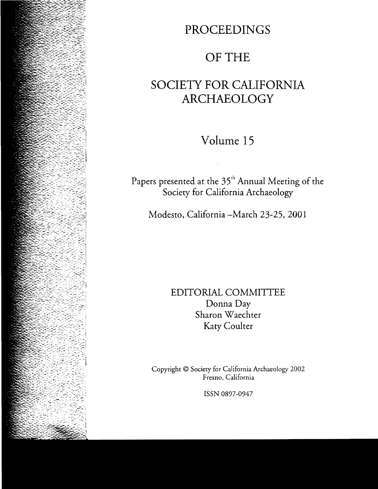# **PROCEEDINGS**

# OF THE

# **SOCIETY FOR CALIFORNIA ARCHAEOLOGY**

Volume **15** 

Papers presented at the 35<sup>th</sup> Annual Meeting of the Society for California Archaeology

Modesto, California -March 23-25, 2001

EDITORIAL COMMITTEE Donna Day Sharon Waechter Katy Coulter

Copyright © Society for California Archaeology 2002 Fresno, California

ISSN 0897-0947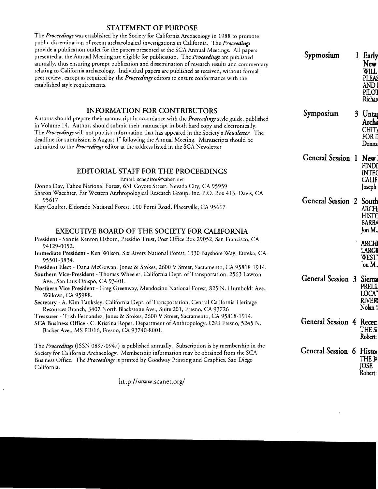### STATEMENT OF PURPOSE

The *Proceedings* was established by the Society for California Archaeology in 1988 to promote public dissemination of recent archaeological investigations in California. The *Proceedings*  provide a publication outlet for the papers presented at the SCA Annual Meetings. All papers presented at the Annual Meeting are eligible for publication. The *Proceedings* are published annually, thus ensuring prompt publication and dissemination of research results and commentary relating to California archaeology. Individual papers are published as received, without formal peer review, except as required by the *Proceedings* editors to ensure conformance with the established style requirements.

**INFORMATION FOR CONTRIBUTORS**<br>Authors should prepare their manuscript in accordance with the *Proceedings* style guide, published in Volume 14. Authors should submit their manuscript in both hard copy and electronically. The *Proceedings* will not publish information that has appeared in the Society's *Newsletter*. The deadline for submission is August 1" following the Annual Meeting. Manuscripts should be submitted to the *Proceedings* ed

### EDITORIAL STAFF FOR THE PROCEEDINGS

Email: scaeditor@saber.net<br>Donna Day, Tahoe National Forest, 631 Coyote Street, Nevada City, CA 95959

Sharon Waechter, Far Western Anthropological Research Group, Inc. P.O. Box 413, Davis, CA 95617<br>General Session 2  $\overline{S}$  Section 2  $\overline{S}$  of  $\overline{S}$  and  $\overline{S}$  of  $\overline{S}$  setsion

Katy Coulter, Eldorado National Forest, 100 Forni Road, Placerville, CA 95667

# EXECUTIVE BOARD OF THE SOCIETY FOR CALIFORNIA<br>President - Sannie Kenton Osborn, Presidio Trust, Post Office Box 29052, San Francisco, CA

- 
- 94129-0052.<br>Immediate President Ken Wilson, Six Rivers National Forest, 1330 Bayshore Way, Eureka, CA<br>95501-3834.<br>President Elect Dana McGowan, Jones & Stokes, 2600 V Street, Sacramento, CA 95818-1914.

- Southern Vice-President Thomas Wheeler, California Dept. of Transportation, 2563 Lawton Ave., San Luis Obispo, CA 93401.
- Northern Vice President Greg Greenway, Mendocino National Forest, 825 N. Humboldt Ave., Willows, CA 95988.
- Secretary A. Kim Tanksley, California Dept. of Transportation, Central California Heritage Resources Branch, 3402 North Blackstone Ave., Suite 201, Fresno, CA 93726

Treasurer - Trish Fernandez, Jones & Stokes, 2600 V Street, Sacramento, CA 95818-1914.

SCA Business Office - C. Kristina Roper, Department of Anthropology, CSU Fresno, 5245 N. Backer Ave., MS PB/16, Fresno, CA 93740-8001.

The *Proceedings* (lSSN 0897-0947) is published annually. Subscription is by membership in the Society for California Archaeology. Membership information may be obtained from the SCA Business Office. The *Proceedings* is printed by Goodway Printing and Graphics, San Diego California. Joseph California and the contract of the contract of the contract of the contract of the contract of the contract of the contract of the contract of the contract of the contract of the contract of the contract

http://www.scanet.org/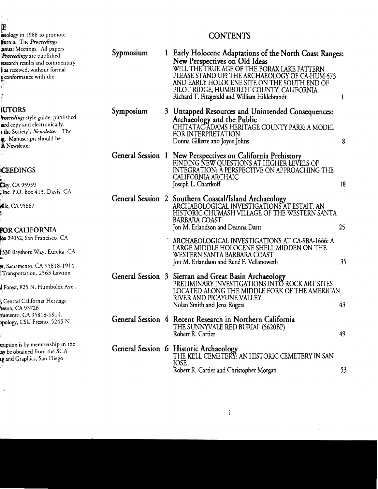## CONTENTS

| Sypmosium | 1 Early Holocene Adaptations of the North Coast Ranges:<br>New Perspectives on Old Ideas<br>WILL THE TRUE AGE OF THE BORAX LAKE PATTERN<br>PLEASE STAND UP? THE ARCHAEOLOGY OF CA-HUM-573<br>AND EARLY HOLOCENE SITE ON THE SOUTH END OF<br>PILOT RIDGE, HUMBOLDT COUNTY, CALIFORNIA<br>Richard T. Fitzgerald and William Hildebrandt | 1  |
|-----------|---------------------------------------------------------------------------------------------------------------------------------------------------------------------------------------------------------------------------------------------------------------------------------------------------------------------------------------|----|
| Symposium | 3 Untapped Resources and Unintended Consequences:<br>Archaeology and the Public<br>CHITATAC-ADAMS HERITAGE COUNTY PARK: A MODEL<br>FOR INTERPRETATION<br>Donna Gillette and Joyce Johns                                                                                                                                               | 8  |
|           | General Session 1 New Perspectives on California Prehistory<br>FINDING NEW QUESTIONS AT HIGHER LEVELS OF<br>INTEGRATION: A PERSPECTIVE ON APPROACHING THE<br>CALIFORNIA ARCHAIC<br>Joseph L. Chartkoff                                                                                                                                | 18 |
|           | General Session 2 Southern Coastal/Island Archaeology<br>ARCHAEOLOGICAL INVESTIGATIONS AT ESTAIT, AN<br>HISTORIC CHUMASH VILLAGE OF THE WESTERN SANTA<br><b>BARBARA COAST</b><br>Jon M. Erlandson and Deanna Dartt                                                                                                                    | 25 |
|           | ARCHAEOLOGICAL INVESTIGATIONS AT CA-SBA-1666: A<br>LARGE MIDDLE HOLOCENE SHELL MIDDEN ON THE<br>WESTERN SANTA BARBARA COAST<br>Jon M. Erlandson and René F. Vellanoweth                                                                                                                                                               | 35 |
|           | General Session 3 Sierran and Great Basin Archaeology<br>PRELIMINARY INVESTIGATIONS INTO ROCK ART SITES<br>LOCATED ALONG THE MIDDLE FORK OF THE AMERICAN<br>RIVER AND PICAYUNE VALLEY<br>Nolan Smith and Jena Rogers                                                                                                                  | 43 |
|           | General Session 4 Recent Research in Northern California<br>THE SUNNYVALE RED BURIAL (5620BP)<br>Robert R. Cartier                                                                                                                                                                                                                    | 49 |
|           | General Session 6 Historic Archaeology<br>THE KELL CEMETERY: AN HISTORIC CEMETERY IN SAN<br><b>JOSE</b><br>Robert R. Cartier and Christopher Morgan                                                                                                                                                                                   | 53 |

 $\sim$   $\omega$